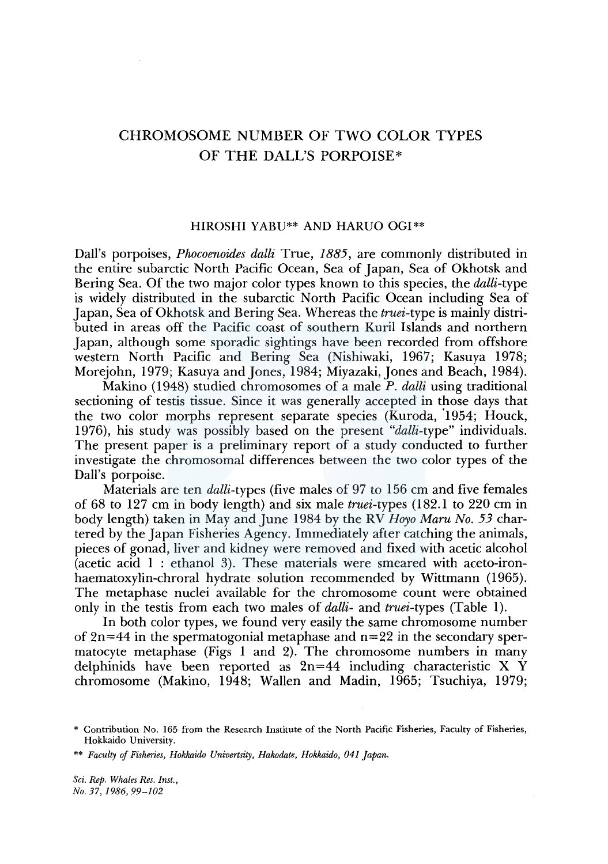# CHROMOSOME NUMBER OF TWO COLOR TYPES OF THE DALL'S PORPOISE\*

### HIROSHI YABU\*\* AND HARUO OGI\*\*

Dall's porpoises, *Phocoenoides dalli* True, *1885,* are commonly distributed in the entire subarctic North Pacific Ocean, Sea of Japan, Sea of Okhotsk and Bering Sea. Of the two major color types known to this species, the *dalli-type*  is widely distributed in the subarctic North Pacific Ocean including Sea of Japan, Sea of Okhotsk and Bering Sea. Whereas the *truei-type* is mainly distributed in areas off the Pacific coast of southern Kuril Islands and northern Japan, although some sporadic sightings have been recorded from offshore western North Pacific and Bering Sea (Nishiwaki, 1967; Kasuya 1978; Morejohn, 1979; Kasuya and Jones, 1984; Miyazaki, Jones and Beach, 1984).

Makino ( 1948) studied chromosomes of a male *P. dalli* using traditional sectioning of testis tissue. Since it was generally accepted in those days that the two color morphs represent separate species (Kuroda, '1954; Houck, 1976), his study was possibly based on the present *"dalli-type"* individuals. The present paper is a preliminary report of a study conducted to further investigate the chromosomal differences between the two color types of the Dall's porpoise.

Materials are ten *dalli-types* (five males of 97 to 156 cm and five females of 68 to 127 cm in body length) and six male *truei-types* ( 182.1 to 220 cm in body length) taken in May and June 1984 by the RV *Hoyo Maru No. 53* chartered by the Japan Fisheries Agency. Immediately after catching the animals, pieces of gonad, liver and kidney were removed and fixed with acetic alcohol (acetic acid 1 : ethanol 3). These materials were smeared with aceto-ironhaematoxylin-chroral hydrate solution recommended by Wittmann (1965). The metaphase nuclei available for the chromosome count were obtained only in the testis from each two males of *dalli-* and *truei-types* (Table 1).

In both color types, we found very easily the same chromosome number of  $2n=44$  in the spermatogonial metaphase and  $n=22$  in the secondary spermatocyte metaphase (Figs 1 and 2). The chromosome numbers in many delphinids have been reported as  $2n=44$  including characteristic X Y chromosome (Makino, 1948; Wallen and Madin, 1965; Tsuchiya, 1979;

*Sci. Rep. Whales Res. Inst., No. 37, 1986, 99-102* 

<sup>\*</sup> Contribution No. 165 from the Research Institute of the North Pacific Fisheries, Faculty of Fisheries, Hokkaido University.

<sup>\*\*</sup> *Faculty of Fisheries, Hokkaido Univertsity, Hakodate, Hokkaido, 041 Japan.*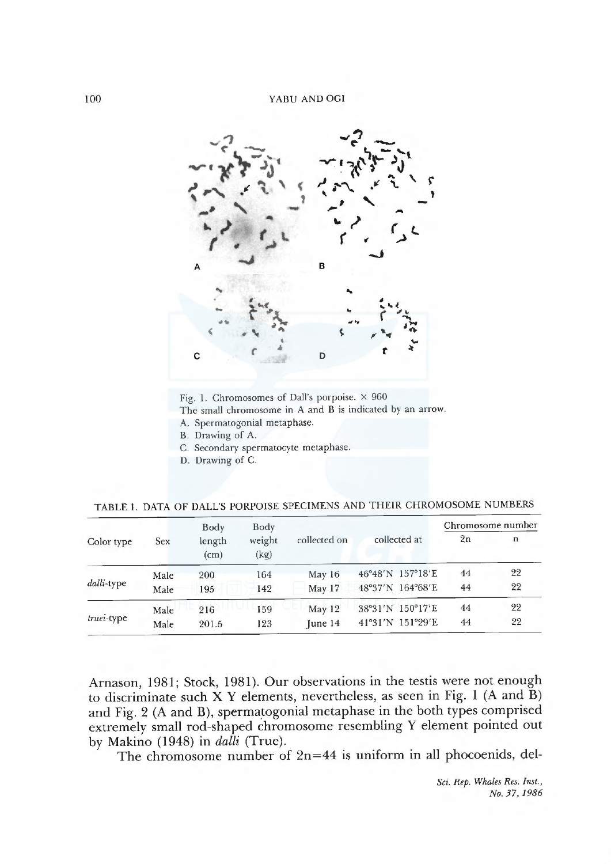

Fig. 1. Chromosomes of Dall's porpoise.  $\times$  960 The small chromosome in A and B is indicated by an arrow. A. Spermatogonial metaphase.

- B. Drawing of A.
- C. Secondary spermatocyte metaphase.
- D. Drawing of C.

TABLE 1. DATA OF DALL'S PORPOISE SPECIMENS AND THEIR CHROMOSOME NUMBERS

| Color type | <b>Sex</b> | Body<br>length<br>(cm) | Body<br>weight<br>(kg) | collected on  | collected at     | Chromosome number |    |
|------------|------------|------------------------|------------------------|---------------|------------------|-------------------|----|
|            |            |                        |                        |               |                  | 2n                | n  |
| dalli-type | Male       | 200                    | 164                    | May $16$      | 46°48'N 157°18'E | 44                | 22 |
|            | Male       | 195                    | 142                    | May 17        | 48°37'N 164°68'E | 44                | 22 |
| truei-type | Male       | 216                    | 159                    | May 12        | 38°31'N 150°17'E | 44                | 22 |
|            | Male       | 201.5                  | 123                    | $ $ une $ $ 4 | 41°31'N 151°29'E | 44                | 22 |

Arnason, 1981; Stock, 1981). Our observations in the testis were not enough to discriminate such X Y elements, nevertheless, as seen in Fig. 1 (A and B) and Fig. 2 (A and B), spermatogonial metaphase in the both types comprised extremely small rod-shaped chromosome resembling Y element pointed out by Makino (1948) in dalli (True).

The chromosome number of  $2n=44$  is uniform in all phocoenids, del-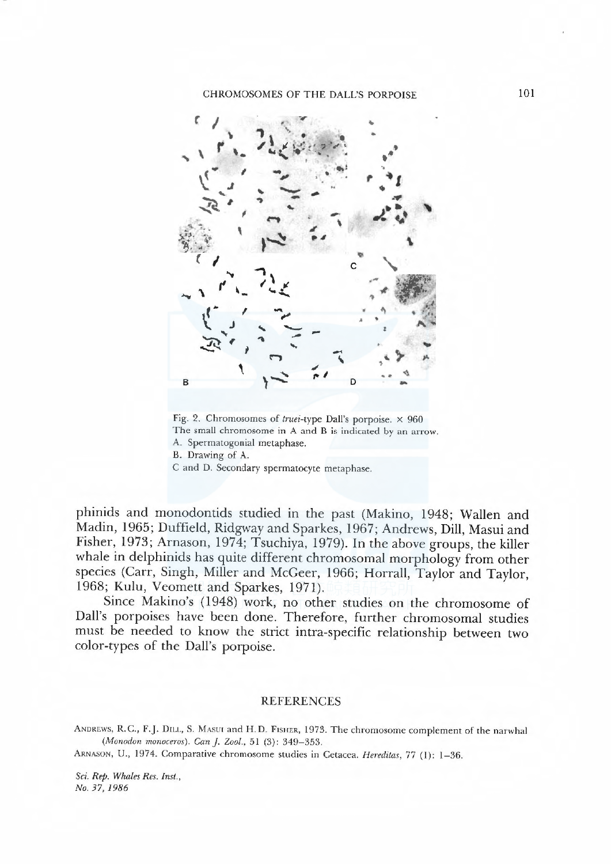### CHROMOSOMES OF THE DALL'S PORPOISE 101



Fig. 2. Chromosomes of truei-type Dall's porpoise.  $\times$  960 The small chromosome in A and B is indicated by an arrow. A. Spermatogonial metaphase. B. Drawing of A. C and D. Secondary spermatocyte metaphase.

<sup>p</sup>hinids and monodontids studied in the past (Makino, 1948; Wallen and Madin, 1965; Duffield, Ridgway and Sparkes, 1967; Andrews, Dill, Masui and Fisher, 1973; Arnason, 1974; Tsuchiya, 1979). In the above groups, the killer whale in delphinids has quite different chromosomal morphology from other species (Carr, Singh, Miler and McGeer, 1966; Horral, Taylor and Taylor, 1968; Kulu, Veomett and Sparkes, 1971).

Since Makino's (1948) work, no other studies on the chromosome of Dall's porpoises have been done. Therefore, further chromosomal studies must be needed to know the strict intra-specific relationship between two color-types of the Dall's porpoise.

#### REFERENCES

ANDREWS, R.C., F.J. DILL, S. MASUI and H.D. FISHER, 1973. The chromosome complement of the narwhal (Monodon monoceros). Can J. Zool., 51 (3): 349-353.

ARNASON, U., 1974. Comparative chromosome studies in Cetacea. Hereditas, 77 (1): 1-36.

Sci. Rep. Whales Res. Inst., No. 37, 1986